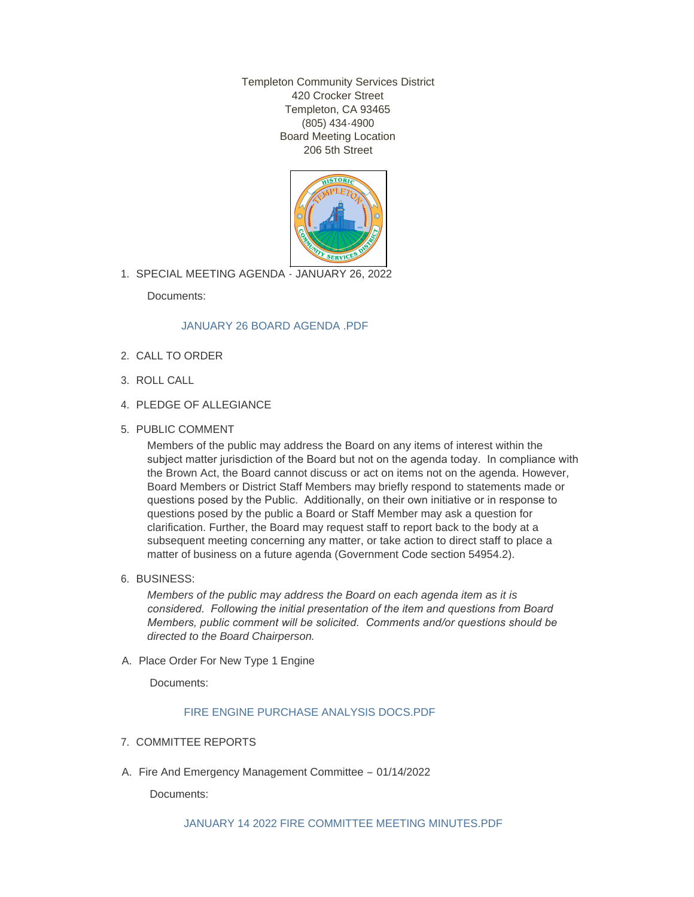Templeton Community Services District 420 Crocker Street Templeton, CA 93465 (805) 434-4900 Board Meeting Location 206 5th Street



SPECIAL MEETING AGENDA - JANUARY 26, 2022 1.

Documents:

## [JANUARY 26 BOARD AGENDA .PDF](http://templetoncsd.org/AgendaCenter/ViewFile/Item/4531?fileID=3157)

- 2. CALL TO ORDER
- ROLL CALL 3.
- 4. PLEDGE OF ALLEGIANCE
- 5. PUBLIC COMMENT

Members of the public may address the Board on any items of interest within the subject matter jurisdiction of the Board but not on the agenda today. In compliance with the Brown Act, the Board cannot discuss or act on items not on the agenda. However, Board Members or District Staff Members may briefly respond to statements made or questions posed by the Public. Additionally, on their own initiative or in response to questions posed by the public a Board or Staff Member may ask a question for clarification. Further, the Board may request staff to report back to the body at a subsequent meeting concerning any matter, or take action to direct staff to place a matter of business on a future agenda (Government Code section 54954.2).

6. BUSINESS:

*Members of the public may address the Board on each agenda item as it is considered. Following the initial presentation of the item and questions from Board Members, public comment will be solicited. Comments and/or questions should be directed to the Board Chairperson.*

A. Place Order For New Type 1 Engine

Documents:

## [FIRE ENGINE PURCHASE ANALYSIS DOCS.PDF](http://templetoncsd.org/AgendaCenter/ViewFile/Item/4530?fileID=3156)

- 7. COMMITTEE REPORTS
- A. Fire And Emergency Management Committee 01/14/2022

Documents: